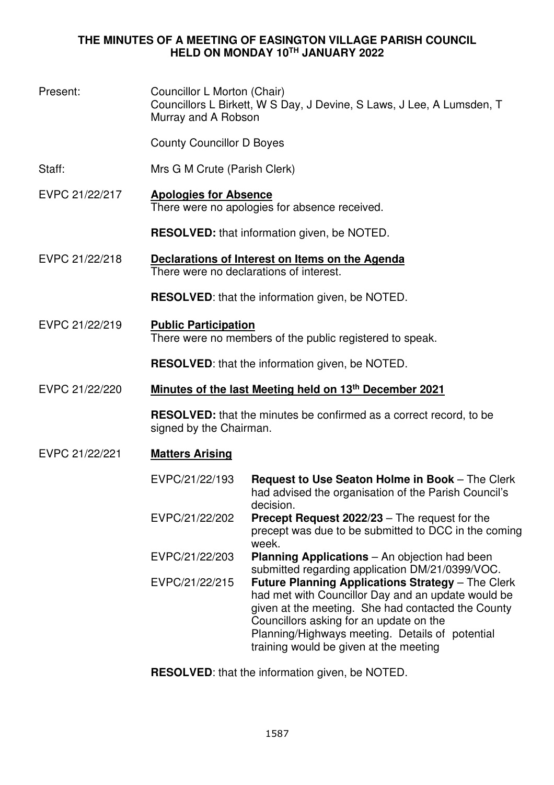#### **THE MINUTES OF A MEETING OF EASINGTON VILLAGE PARISH COUNCIL HELD ON MONDAY 10TH JANUARY 2022**

Present: Councillor L Morton (Chair) Councillors L Birkett, W S Day, J Devine, S Laws, J Lee, A Lumsden, T Murray and A Robson County Councillor D Boyes Staff: Mrs G M Crute (Parish Clerk) EVPC 21/22/217 **Apologies for Absence** There were no apologies for absence received. **RESOLVED:** that information given, be NOTED. EVPC 21/22/218 **Declarations of Interest on Items on the Agenda**  There were no declarations of interest. **RESOLVED**: that the information given, be NOTED. EVPC 21/22/219 **Public Participation**  There were no members of the public registered to speak. **RESOLVED**: that the information given, be NOTED. EVPC 21/22/220 **Minutes of the last Meeting held on 13th December 2021 RESOLVED:** that the minutes be confirmed as a correct record, to be signed by the Chairman. EVPC 21/22/221 **Matters Arising**  EVPC/21/22/193 **Request to Use Seaton Holme in Book** – The Clerk had advised the organisation of the Parish Council's decision. EVPC/21/22/202 **Precept Request 2022/23** – The request for the precept was due to be submitted to DCC in the coming week. EVPC/21/22/203 **Planning Applications** – An objection had been submitted regarding application DM/21/0399/VOC. EVPC/21/22/215 **Future Planning Applications Strategy** – The Clerk had met with Councillor Day and an update would be given at the meeting. She had contacted the County Councillors asking for an update on the Planning/Highways meeting. Details of potential training would be given at the meeting

**RESOLVED**: that the information given, be NOTED.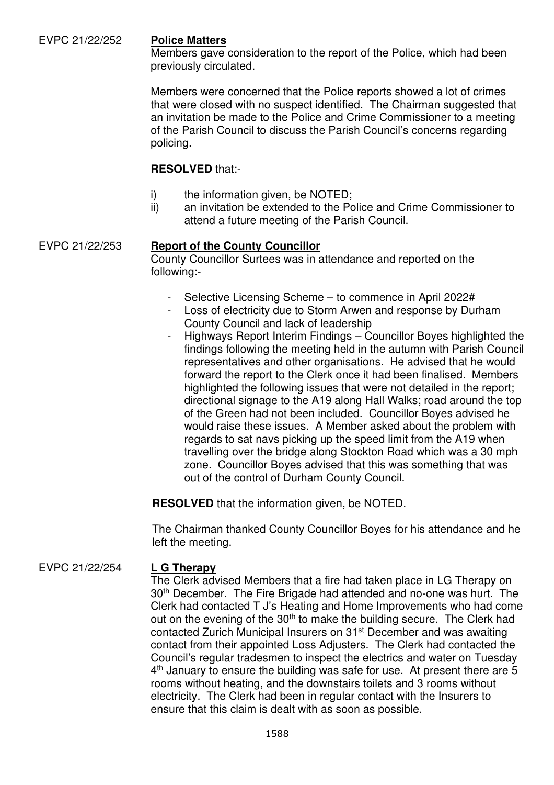#### EVPC 21/22/252 **Police Matters**

Members gave consideration to the report of the Police, which had been previously circulated.

Members were concerned that the Police reports showed a lot of crimes that were closed with no suspect identified. The Chairman suggested that an invitation be made to the Police and Crime Commissioner to a meeting of the Parish Council to discuss the Parish Council's concerns regarding policing.

#### **RESOLVED** that:-

- i) the information given, be NOTED;
- ii) an invitation be extended to the Police and Crime Commissioner to attend a future meeting of the Parish Council.

#### EVPC 21/22/253 **Report of the County Councillor**

County Councillor Surtees was in attendance and reported on the following:-

- Selective Licensing Scheme to commence in April 2022#
- Loss of electricity due to Storm Arwen and response by Durham County Council and lack of leadership
- Highways Report Interim Findings Councillor Boyes highlighted the findings following the meeting held in the autumn with Parish Council representatives and other organisations. He advised that he would forward the report to the Clerk once it had been finalised. Members highlighted the following issues that were not detailed in the report; directional signage to the A19 along Hall Walks; road around the top of the Green had not been included. Councillor Boyes advised he would raise these issues. A Member asked about the problem with regards to sat navs picking up the speed limit from the A19 when travelling over the bridge along Stockton Road which was a 30 mph zone. Councillor Boyes advised that this was something that was out of the control of Durham County Council.

**RESOLVED** that the information given, be NOTED.

The Chairman thanked County Councillor Boyes for his attendance and he left the meeting.

### EVPC 21/22/254 **L G Therapy**

The Clerk advised Members that a fire had taken place in LG Therapy on 30<sup>th</sup> December. The Fire Brigade had attended and no-one was hurt. The Clerk had contacted T J's Heating and Home Improvements who had come out on the evening of the 30<sup>th</sup> to make the building secure. The Clerk had contacted Zurich Municipal Insurers on 31st December and was awaiting contact from their appointed Loss Adjusters. The Clerk had contacted the Council's regular tradesmen to inspect the electrics and water on Tuesday 4<sup>th</sup> January to ensure the building was safe for use. At present there are 5 rooms without heating, and the downstairs toilets and 3 rooms without electricity. The Clerk had been in regular contact with the Insurers to ensure that this claim is dealt with as soon as possible.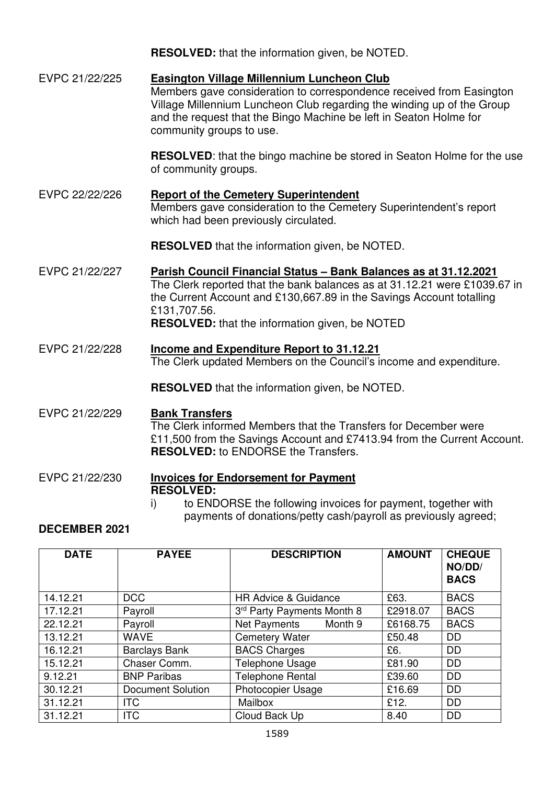|                | <b>RESOLVED:</b> that the information given, be NOTED.                                                                                                                                                                                                                                                |
|----------------|-------------------------------------------------------------------------------------------------------------------------------------------------------------------------------------------------------------------------------------------------------------------------------------------------------|
| EVPC 21/22/225 | <b>Easington Village Millennium Luncheon Club</b><br>Members gave consideration to correspondence received from Easington<br>Village Millennium Luncheon Club regarding the winding up of the Group<br>and the request that the Bingo Machine be left in Seaton Holme for<br>community groups to use. |
|                | <b>RESOLVED:</b> that the bingo machine be stored in Seaton Holme for the use<br>of community groups.                                                                                                                                                                                                 |
| EVPC 22/22/226 | <b>Report of the Cemetery Superintendent</b><br>Members gave consideration to the Cemetery Superintendent's report<br>which had been previously circulated.                                                                                                                                           |
|                | <b>RESOLVED</b> that the information given, be NOTED.                                                                                                                                                                                                                                                 |
| EVPC 21/22/227 | Parish Council Financial Status - Bank Balances as at 31.12.2021<br>The Clerk reported that the bank balances as at 31.12.21 were £1039.67 in<br>the Current Account and £130,667.89 in the Savings Account totalling<br>£131,707.56.<br><b>RESOLVED:</b> that the information given, be NOTED        |
| EVPC 21/22/228 | <b>Income and Expenditure Report to 31.12.21</b><br>The Clerk updated Members on the Council's income and expenditure.                                                                                                                                                                                |
|                | <b>RESOLVED</b> that the information given, be NOTED.                                                                                                                                                                                                                                                 |
| EVPC 21/22/229 | <b>Bank Transfers</b><br>The Clerk informed Members that the Transfers for December were<br>£11,500 from the Savings Account and £7413.94 from the Current Account.<br><b>RESOLVED:</b> to ENDORSE the Transfers.                                                                                     |
| EVPC 21/22/230 | <b>Invoices for Endorsement for Payment</b><br><b>RESOLVED:</b>                                                                                                                                                                                                                                       |

i) to ENDORSE the following invoices for payment, together with payments of donations/petty cash/payroll as previously agreed;

## **DECEMBER 2021**

| <b>DATE</b> | <b>PAYEE</b>             | <b>DESCRIPTION</b>              | <b>AMOUNT</b> | <b>CHEQUE</b><br>NO/DD/<br><b>BACS</b> |
|-------------|--------------------------|---------------------------------|---------------|----------------------------------------|
| 14.12.21    | <b>DCC</b>               | <b>HR Advice &amp; Guidance</b> | £63.          | <b>BACS</b>                            |
| 17.12.21    | Payroll                  | 3rd Party Payments Month 8      | £2918.07      | <b>BACS</b>                            |
| 22.12.21    | Payroll                  | Net Payments<br>Month 9         | £6168.75      | <b>BACS</b>                            |
| 13.12.21    | <b>WAVE</b>              | <b>Cemetery Water</b>           | £50.48        | <b>DD</b>                              |
| 16.12.21    | <b>Barclays Bank</b>     | <b>BACS Charges</b>             | £6.           | <b>DD</b>                              |
| 15.12.21    | Chaser Comm.             | Telephone Usage                 | £81.90        | <b>DD</b>                              |
| 9.12.21     | <b>BNP Paribas</b>       | <b>Telephone Rental</b>         | £39.60        | <b>DD</b>                              |
| 30.12.21    | <b>Document Solution</b> | <b>Photocopier Usage</b>        | £16.69        | <b>DD</b>                              |
| 31.12.21    | <b>ITC</b>               | Mailbox                         | £12.          | <b>DD</b>                              |
| 31.12.21    | <b>ITC</b>               | Cloud Back Up                   | 8.40          | <b>DD</b>                              |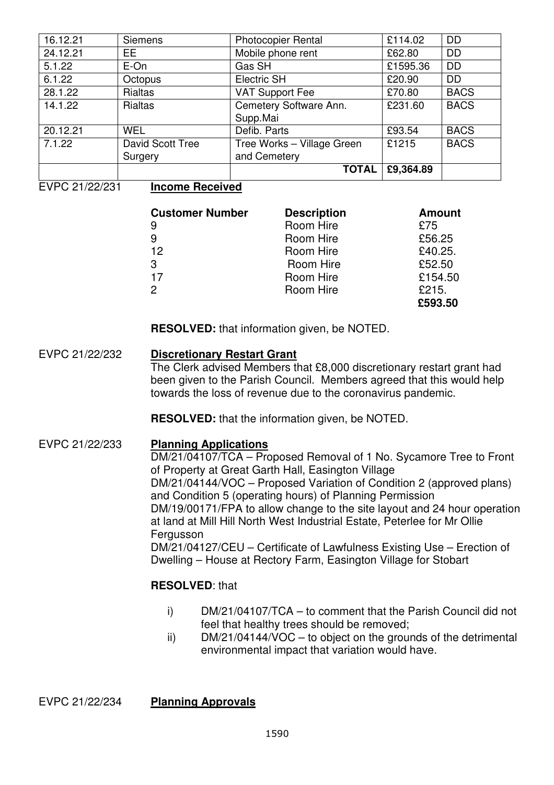| 16.12.21 | <b>Siemens</b>   | <b>Photocopier Rental</b>  | £114.02   | <b>DD</b>   |
|----------|------------------|----------------------------|-----------|-------------|
| 24.12.21 | EE.              | Mobile phone rent          | £62.80    | <b>DD</b>   |
| 5.1.22   | E-On             | Gas SH                     | £1595.36  | <b>DD</b>   |
| 6.1.22   | Octopus          | <b>Electric SH</b>         | £20.90    | <b>DD</b>   |
| 28.1.22  | Rialtas          | <b>VAT Support Fee</b>     | £70.80    | <b>BACS</b> |
| 14.1.22  | <b>Rialtas</b>   | Cemetery Software Ann.     | £231.60   | <b>BACS</b> |
|          |                  | Supp.Mai                   |           |             |
| 20.12.21 | <b>WEL</b>       | Defib. Parts               | £93.54    | <b>BACS</b> |
| 7.1.22   | David Scott Tree | Tree Works - Village Green | £1215     | <b>BACS</b> |
|          | Surgery          | and Cemetery               |           |             |
|          |                  | <b>TOTAL</b>               | £9,364.89 |             |

EVPC 21/22/231 **Income Received** 

| <b>Customer Number</b> | <b>Description</b> | <b>Amount</b> |
|------------------------|--------------------|---------------|
| 9                      | Room Hire          | £75           |
| 9                      | Room Hire          | £56.25        |
| 12                     | Room Hire          | £40.25.       |
| 3                      | Room Hire          | £52.50        |
| 17                     | Room Hire          | £154.50       |
| 2                      | Room Hire          | £215.         |
|                        |                    | £593.50       |

**RESOLVED:** that information given, be NOTED.

# EVPC 21/22/232 **Discretionary Restart Grant**

The Clerk advised Members that £8,000 discretionary restart grant had been given to the Parish Council. Members agreed that this would help towards the loss of revenue due to the coronavirus pandemic.

**RESOLVED:** that the information given, be NOTED.

#### EVPC 21/22/233 **Planning Applications**

DM/21/04107/TCA – Proposed Removal of 1 No. Sycamore Tree to Front of Property at Great Garth Hall, Easington Village DM/21/04144/VOC – Proposed Variation of Condition 2 (approved plans) and Condition 5 (operating hours) of Planning Permission DM/19/00171/FPA to allow change to the site layout and 24 hour operation at land at Mill Hill North West Industrial Estate, Peterlee for Mr Ollie Fergusson DM/21/04127/CEU – Certificate of Lawfulness Existing Use – Erection of Dwelling – House at Rectory Farm, Easington Village for Stobart

### **RESOLVED**: that

- i) DM/21/04107/TCA to comment that the Parish Council did not feel that healthy trees should be removed;
- ii) DM/21/04144/VOC to object on the grounds of the detrimental environmental impact that variation would have.

EVPC 21/22/234 **Planning Approvals**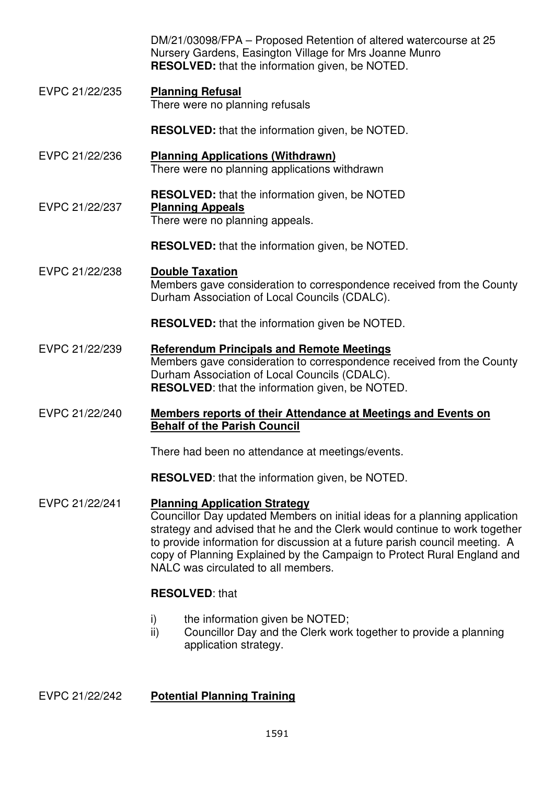DM/21/03098/FPA – Proposed Retention of altered watercourse at 25 Nursery Gardens, Easington Village for Mrs Joanne Munro **RESOLVED:** that the information given, be NOTED.

EVPC 21/22/235 **Planning Refusal**  There were no planning refusals

**RESOLVED:** that the information given, be NOTED.

- EVPC 21/22/236 **Planning Applications (Withdrawn)**  There were no planning applications withdrawn
- **RESOLVED:** that the information given, be NOTED EVPC 21/22/237 **Planning Appeals**  There were no planning appeals.

**RESOLVED:** that the information given, be NOTED.

EVPC 21/22/238 **Double Taxation** Members gave consideration to correspondence received from the County Durham Association of Local Councils (CDALC).

**RESOLVED:** that the information given be NOTED.

- EVPC 21/22/239 **Referendum Principals and Remote Meetings**  Members gave consideration to correspondence received from the County Durham Association of Local Councils (CDALC). **RESOLVED**: that the information given, be NOTED.
- EVPC 21/22/240 **Members reports of their Attendance at Meetings and Events on Behalf of the Parish Council**

There had been no attendance at meetings/events.

**RESOLVED**: that the information given, be NOTED.

EVPC 21/22/241 **Planning Application Strategy** Councillor Day updated Members on initial ideas for a planning application strategy and advised that he and the Clerk would continue to work together to provide information for discussion at a future parish council meeting. A copy of Planning Explained by the Campaign to Protect Rural England and NALC was circulated to all members.

### **RESOLVED**: that

- i) the information given be NOTED:
- ii) Councillor Day and the Clerk work together to provide a planning application strategy.

### EVPC 21/22/242 **Potential Planning Training**